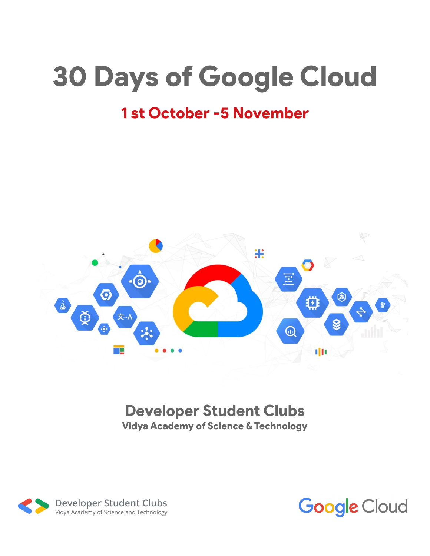# 30 Days of Google Cloud

# 1 st October -5 November



## Developer Student Clubs Vidya Academy of Science & Technology



**Google Cloud**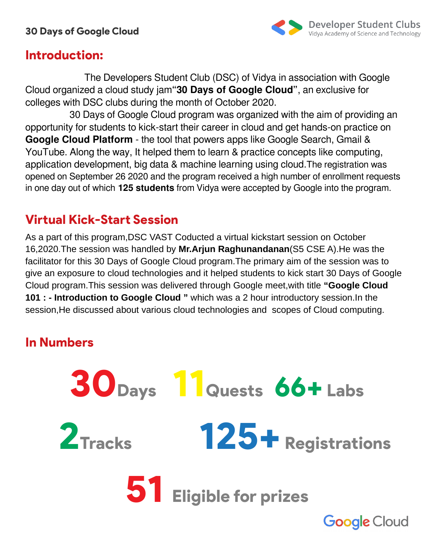

## Introduction:

The Developers Student Club (DSC) of Vidya in association with Google Cloud organized a cloud study jam**"30 Days of Google Cloud"**, an exclusive for colleges with DSC clubs during the month of October 2020.

30 Days of Google Cloud program was organized with the aim of providing an opportunity for students to kick-start their career in cloud and get hands-on practice on **Google Cloud Platform** - the tool that powers apps like Google Search, Gmail & YouTube. Along the way, It helped them to learn & practice concepts like computing, application development, big data & machine learning using cloud.The registration was opened on September 26 2020 and the program received a high number of enrollment requests in one day out of which **125 students** from Vidya were accepted by Google into the program.

# Virtual Kick-Start Session

As a part of this program,DSC VAST Coducted a virtual kickstart session on October 16,2020.The session was handled by **Mr.Arjun Raghunandanan**(S5 CSE A).He was the facilitator for this 30 Days of Google Cloud program.The primary aim of the session was to give an exposure to cloud technologies and it helped students to kick start 30 Days of Google Cloud program.This session was delivered through Google meet,with title **"Google Cloud 101 : - Introduction to Google Cloud "** which was a 2 hour introductory session.In the session,He discussed about various cloud technologies and scopes of Cloud computing.

# In Numbers

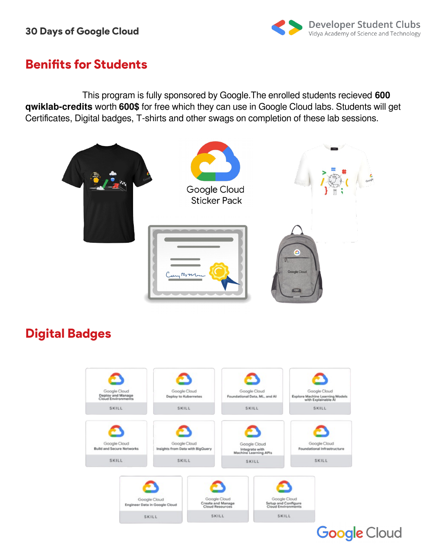

## Benifits for Students

 This program is fully sponsored by Google.The enrolled students recieved **600 qwiklab-credits** worth **600\$** for free which they can use in Google Cloud labs. Students will get Certificates, Digital badges, T-shirts and other swags on completion of these lab sessions.



# Digital Badges

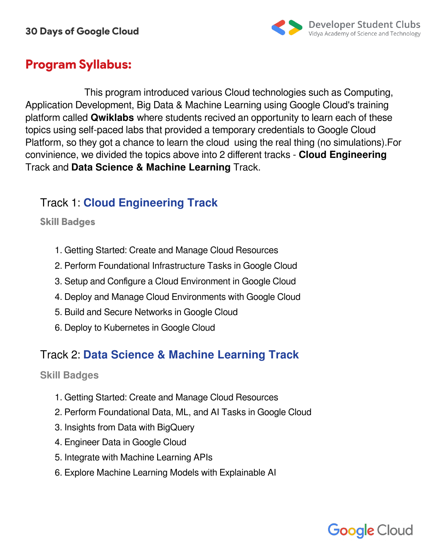

# Program Syllabus:

This program introduced various Cloud technologies such as Computing, Application Development, Big Data & Machine Learning using Google Cloud's training platform called **Qwiklabs** where students recived an opportunity to learn each of these topics using self-paced labs that provided a temporary credentials to Google Cloud Platform, so they got a chance to learn the cloud using the real thing (no simulations).For convinience, we divided the topics above into 2 different tracks - **Cloud Engineering** Track and **Data Science & Machine Learning** Track.

## Track 1: **Cloud Engineering Track**

#### Skill Badges

- 1. Getting Started: Create and Manage Cloud Resources
- 2. Perform Foundational Infrastructure Tasks in Google Cloud
- 3. Setup and Configure a Cloud Environment in Google Cloud
- 4. Deploy and Manage Cloud Environments with Google Cloud
- 5. Build and Secure Networks in Google Cloud
- 6. Deploy to Kubernetes in Google Cloud

## Track 2: **Data Science & Machine Learning Track**

#### **Skill Badges**

- 1. Getting Started: Create and Manage Cloud Resources
- 2. Perform Foundational Data, ML, and AI Tasks in Google Cloud
- 3. Insights from Data with BigQuery
- 4. Engineer Data in Google Cloud
- 5. Integrate with Machine Learning APIs
- 6. Explore Machine Learning Models with Explainable AI

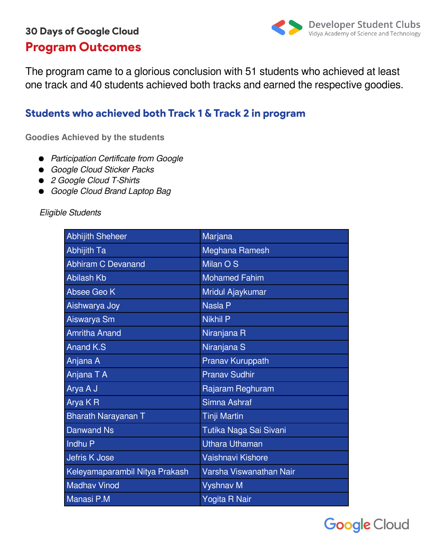# 30 Days of Google Cloud Program Outcomes



The program came to a glorious conclusion with 51 students who achieved at least one track and 40 students achieved both tracks and earned the respective goodies.

## Students who achieved both Track 1 & Track 2 in program

**Goodies Achieved by the students**

- Participation Certificate from Google
- Google Cloud Sticker Packs
- 2 Google Cloud T-Shirts
- Google Cloud Brand Laptop Bag

#### Eligible Students

| <b>Abhijith Sheheer</b>        | Marjana                 |
|--------------------------------|-------------------------|
| <b>Abhijith Ta</b>             | Meghana Ramesh          |
| <b>Abhiram C Devanand</b>      | Milan O S               |
| <b>Abilash Kb</b>              | <b>Mohamed Fahim</b>    |
| Absee Geo K                    | Mridul Ajaykumar        |
| Aishwarya Joy                  | <b>Nasla P</b>          |
| Aiswarya Sm                    | <b>Nikhil P</b>         |
| <b>Amritha Anand</b>           | Niranjana R             |
| <b>Anand K.S</b>               | Niranjana S             |
| Anjana A                       | <b>Pranav Kuruppath</b> |
| Anjana T A                     | <b>Pranav Sudhir</b>    |
| Arya A J                       | Rajaram Reghuram        |
| Arya KR                        | Simna Ashraf            |
| <b>Bharath Narayanan T</b>     | <b>Tinji Martin</b>     |
| <b>Danwand Ns</b>              | Tutika Naga Sai Sivani  |
| Indhu P                        | <b>Uthara Uthaman</b>   |
| <b>Jefris K Jose</b>           | Vaishnavi Kishore       |
| Keleyamaparambil Nitya Prakash | Varsha Viswanathan Nair |
| <b>Madhav Vinod</b>            | <b>Vyshnav M</b>        |
| Manasi P.M                     | Yogita R Nair           |

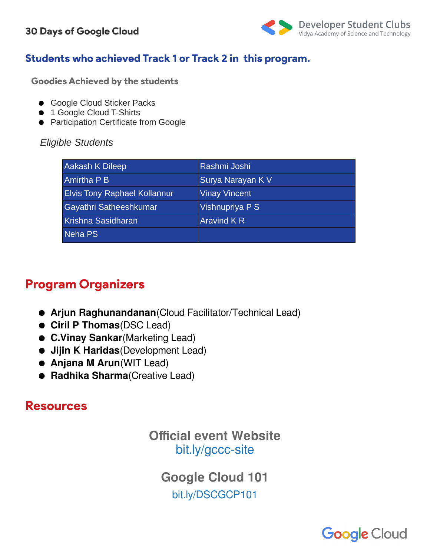

## Students who achieved Track 1 or Track 2 in this program.

Goodies Achieved by the students

- Google Cloud Sticker Packs
- 1 Google Cloud T-Shirts
- Participation Certificate from Google

#### *Eligible Students*

| Aakash K Dileep                     | Rashmi Joshi         |
|-------------------------------------|----------------------|
| <b>Amirtha P B</b>                  | Surya Narayan K V    |
| <b>Elvis Tony Raphael Kollannur</b> | <b>Vinay Vincent</b> |
| Gayathri Satheeshkumar              | Vishnupriya P S      |
| Krishna Sasidharan                  | Aravind K R          |
| Neha PS                             |                      |

# Program Organizers

- **Arjun Raghunandanan**(Cloud Facilitator/Technical Lead)
- **Ciril P Thomas**(DSC Lead)
- **C.Vinay Sankar**(Marketing Lead)
- **Jijin K Haridas**(Development Lead)
- **Anjana M Arun**(WIT Lead)
- **Radhika Sharma**(Creative Lead)

## Resources

## **Official event Website** [bit.ly/gccc-site](http://bit.ly/gccc-site)

**Google Cloud 101** [bit.ly/DSCGCP101](http://bit.ly/DSCGCP101)